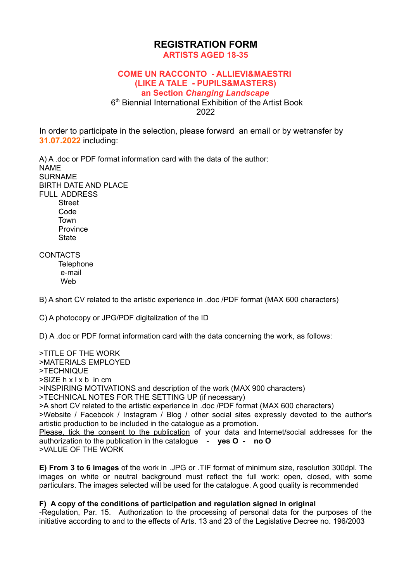## **REGISTRATION FORM ARTISTS AGED 18-35**

## **COME UN RACCONTO - ALLIEVI&MAESTRI (LIKE A TALE - PUPILS&MASTERS) an Section** *Changing Landscape*

6<sup>th</sup> Biennial International Exhibition of the Artist Book 2022

In order to participate in the selection, please forward an email or by wetransfer by **31.07.2022** including:

A) A .doc or PDF format information card with the data of the author: NAME SURNAME BIRTH DATE AND PLACE FULL ADDRESS **Street** Code

 Town **Province State** 

## **CONTACTS**

**Telephone**  e-mail Web

B) A short CV related to the artistic experience in .doc /PDF format (MAX 600 characters)

C) A photocopy or JPG/PDF digitalization of the ID

D) A .doc or PDF format information card with the data concerning the work, as follows:

>TITLE OF THE WORK >MATERIALS EMPLOYED >TECHNIQUE  $>$ SIZE h x l x b in cm >INSPIRING MOTIVATIONS and description of the work (MAX 900 characters) >TECHNICAL NOTES FOR THE SETTING UP (if necessary) >A short CV related to the artistic experience in .doc /PDF format (MAX 600 characters) >Website / Facebook / Instagram / Blog / other social sites expressly devoted to the author's artistic production to be included in the catalogue as a promotion. Please, tick the consent to the publication of your data and Internet/social addresses for the authorization to the publication in the catalogue - **yes O - no O** >VALUE OF THE WORK

**E) From 3 to 6 images** of the work in .JPG or .TIF format of minimum size, resolution 300dpl. The images on white or neutral background must reflect the full work: open, closed, with some particulars. The images selected will be used for the catalogue. A good quality is recommended

## **F) A copy of the conditions of participation and regulation signed in original**

-Regulation, Par. 15. Authorization to the processing of personal data for the purposes of the initiative according to and to the effects of Arts. 13 and 23 of the Legislative Decree no. 196/2003